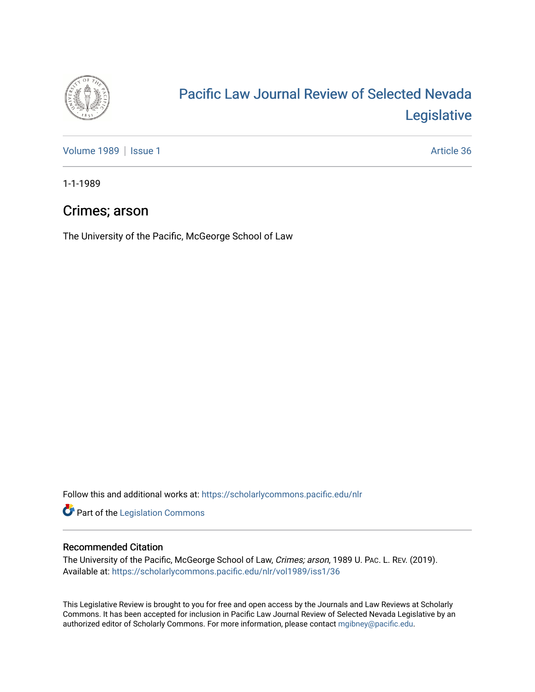

# [Pacific Law Journal Review of Selected Nevada](https://scholarlycommons.pacific.edu/nlr)  [Legislative](https://scholarlycommons.pacific.edu/nlr)

[Volume 1989](https://scholarlycommons.pacific.edu/nlr/vol1989) | [Issue 1](https://scholarlycommons.pacific.edu/nlr/vol1989/iss1) Article 36

1-1-1989

# Crimes; arson

The University of the Pacific, McGeorge School of Law

Follow this and additional works at: [https://scholarlycommons.pacific.edu/nlr](https://scholarlycommons.pacific.edu/nlr?utm_source=scholarlycommons.pacific.edu%2Fnlr%2Fvol1989%2Fiss1%2F36&utm_medium=PDF&utm_campaign=PDFCoverPages) 

**Part of the [Legislation Commons](http://network.bepress.com/hgg/discipline/859?utm_source=scholarlycommons.pacific.edu%2Fnlr%2Fvol1989%2Fiss1%2F36&utm_medium=PDF&utm_campaign=PDFCoverPages)** 

## Recommended Citation

The University of the Pacific, McGeorge School of Law, Crimes; arson, 1989 U. PAC. L. REV. (2019). Available at: [https://scholarlycommons.pacific.edu/nlr/vol1989/iss1/36](https://scholarlycommons.pacific.edu/nlr/vol1989/iss1/36?utm_source=scholarlycommons.pacific.edu%2Fnlr%2Fvol1989%2Fiss1%2F36&utm_medium=PDF&utm_campaign=PDFCoverPages)

This Legislative Review is brought to you for free and open access by the Journals and Law Reviews at Scholarly Commons. It has been accepted for inclusion in Pacific Law Journal Review of Selected Nevada Legislative by an authorized editor of Scholarly Commons. For more information, please contact [mgibney@pacific.edu](mailto:mgibney@pacific.edu).